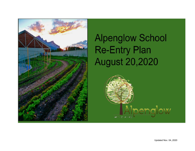

# **Alpenglow School Re-Entry Plan August 20,2020**

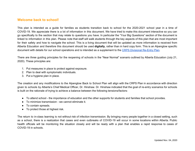## **Welcome back to school!**

This plan is intended as a guide for families as students transition back to school for the 2020-2021 school year in a time of COVID-19. We appreciate there is a lot of information in this document. We have tried to make this document interactive so you can go specifically to the section that may relate to questions you have. In particular the "Your Big Questions" section of the document is linked to information in this plan. Please note that staff will walk students through the key aspects of this plan that are most important for their safety and how to navigate the school. This is a living document that will be updated as more information is received from Alberta Education and therefore this document should be used **digitally**, rather than in hard copy form. This is an Alpenglow specific document with details for our school operations and is intended as a supplement to the CRPS [Divisional](https://www.crps.ca/Coronavirus.php) Re-Entry Plan.

There are three guiding principles for the reopening of schools in the "Near Normal" scenario outlined by Alberta Education (July 21, 2020). These principles are:

- 1. Put measures in place to protect against exposure.
- 2. Plan to deal with symptomatic individuals.
- 3. Put a hygiene plan in place.

The creation and any modifications to the Alpenglow Back to School Plan will align with the CRPS Plan in accordance with direction given to schools by Alberta's Chief Medical Officer, Dr. Hinshaw. Dr. Hinshaw indicated that the goal of re-entry scenarios for schools is built on the rationale of trying to achieve a balance between the following tensions/factors:

- To attend school the importance of education and the other supports for students and families that school provides.
- To minimize transmission we cannot eliminate it.
- To contain spreads.
- To protect those at highest risk.

The return to in-class learning is not without risk of infection transmission. By bringing many people together in a closed setting, such as a school, there is a realization that cases and even outbreaks of COVID-19 will occur in some locations within Alberta. Public health officials will be monitoring the situation closely and will be ready with a plan that enables a rapid response to cases of COVID-19 in schools.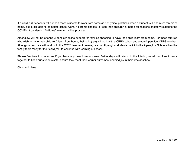If a child is ill, teachers will support those students to work from home as per typical practices when a student is ill and must remain at home, but is still able to complete school work. If parents choose to keep their child/ren at home for reasons of safety related to the COVID-19 pandemic, 'At-Home' learning will be provided.

Alpenglow will not be offering Alpenglow online support for families choosing to have their child learn from home. For those families who wish to have their child(ren) learn from home, their child(ren) will work with a CRPS cohort and a non-Alpenglow CRPS teacher. Alpenglow teachers will work with the CRPS teacher to reintegrate our Alpenglow students back into the Alpenglow School when the family feels ready for their child(ren) to continue with learning at school.

Please feel free to contact us if you have any questions/concerns. Better days will return. In the interim, we will continue to work together to keep our students safe, ensure they meet their learner outcomes, and find joy in their time at school.

Chris and Hans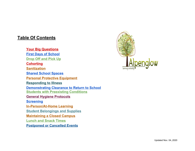## <span id="page-3-0"></span>**Table Of Contents**

**Your Big [Questions](#page-4-0) First Days of [School](#page-6-0) [Drop](#page-7-0) Off and Pick Up [Cohorting](#page-7-1) [Sanitization](#page-8-0) Shared School [Spaces](#page-9-0) Personal Protective [Equipment](#page-9-1) [Responding](#page-10-0) to Illness [Demonstrating](#page-11-0) Clearance to Return to School Students with [Preexisting](#page-11-1) Conditions General Hygiene [Protocols](#page-12-0) [Screening](#page-13-0) [In-Person/At-Home](#page-14-0) Learning Student [Belongings](#page-15-0) and Supplies [Maintaining](#page-15-1) a Closed Campus [Lunch](#page-16-0) and Snack Times [Postponed](#page-17-0) or Cancelled Events**

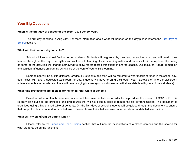## <span id="page-4-0"></span>**Your Big Questions**

#### **When is the first day of school for the 2020 - 2021 school year?**

The first day of school is Aug 31st. For more information about what will happen on this day please refer to the First [Days](#page-6-0) of [School](#page-6-0) section.

#### **What will their school day look like?**

School will look and feel familiar to our students. Students will be greeted by their teacher each morning and will be with their teacher throughout the day. The rhythm and routine with learning blocks, morning walks, and recess will still be in place. The timing of some of the activities will change somewhat to allow for staggered transitions in shared spaces. Our focus on Nature Immersion and Waldorf influences on learning will still be at the core of your child's learning.

Some things will be a little different. Grades 4-6 students and staff will be required to wear masks at times in the school day, each class will have a dedicated washroom for use, students will have to bring their outer wear (jackets etc.) into the classroom unless students are outside, and there will be no singing in class (your child's teacher will share details with you and their students).

#### **What kind protections are in place for my child(ren), while at school?**

Based on Alberta Health directives, our school has taken initiatives in order to help reduce the spread of COVID-19. This re-entry plan outlines the protocols and procedures that we have put in place to reduce the risk of transmission. This document is organized using a hyperlinked table of contents. On the first days of school, students will be guided through this document to ensure that our protocols are understood and followed. Please choose links that you are concerned about for detailed information.

#### **What will my child(ren) do during lunch?**

Please refer to the Lunch and [Snack](#page-16-0) Times section that outlines the expectations of a closed campus and this section for what students do during lunchtime.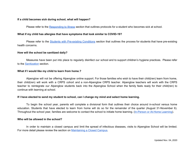#### **If a child becomes sick during school, what will happen?**

Please refer to the [Responding](#page-10-0) to Illness section that outlines protocols for a student who becomes sick at school.

#### **What if my child has allergies that have symptoms that look similar to COVID-19?**

Please refer to the Students with [Pre-existing](#page-11-1) Conditions section that outlines the process for students that have pre-existing health concerns.

#### **How will the school be sanitized daily?**

Measures have been put into place to regularly disinfect our school and to support children's hygiene practices. Please refer to the [Sanitization](#page-8-0) section.

#### **What if I would like my child to learn from home.?**

Alpenglow will not be offering Alpenglow online support. For those families who wish to have their child(ren) learn from home, their child(ren) will work with a CRPS cohort and a non-Alpenglow CRPS teacher. Alpenglow teachers will work with the CRPS teacher to reintegrate our Alpenglow students back into the Alpenglow School when the family feels ready for their child(ren) to continue with learning at school.

#### If I have elected to send my student to school, can I change my mind and select home learning.

To begin the school year, parents will complete a divisional form that outlines their choice around in-school versus home education. Students that have elected to learn from home will do so for the remainder of the quarter (August 31-November 6). Throughout the school year, families are welcome to contact the school to initiate home learning. ([In-Person](#page-14-0) or At-Home Learning).

#### **Who will be allowed in the school?**

In order to maintain a closed campus and limit the spread of infectious diseases, visits to Alpenglow School will be limited. For more detail please review the section on [Maintaining](#page-15-1) a Closed Campus.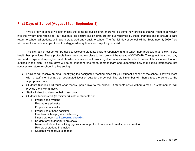## <span id="page-6-0"></span>**First Days of School (August 31st - September 3)**

While a day in school will look mostly the same for our children, there will be some new practices that will need to be woven into the rhythm and routine for our students. To ensure our children are not overwhelmed by these changes and to ensure a safe return to school, all students will have a staggered entry back to school. The first full day of school will be September 3, 2020. You will be sent a schedule so you know the staggered entry times and days for your child.

The first day of school will be used to welcome students back to Alpenglow and to teach them protocols that follow Alberta Health best practices. These protocols have been put into place to help prevent the spread of COVID-19. Throughout the school day we need everyone at Alpenglow (staff, families and students) to work together to maximize the effectiveness of the initiatives that are outlined in this plan. The first days will be an important time for students to learn and understand how to minimize interactions that occur as we return to school in a live setting.

- Families will receive an email identifying the designated meeting place for your student's cohort at the school. They will meet with a staff member at that designated location outside the school. The staff member will then direct the cohort to the appropriate room.
- Students (Grades 4-6) must wear masks upon arrival to the school. If students arrive without a mask, a staff member will provide them with a mask.
- Staff will direct students to their classroom.
- Students' teachers will (at minimum) instruct students on:
	- Proper hand hygiene
	- Respiratory etiquette
	- Proper use of masks
	- Proper use of hand sanitizer
	- How to maintain physical distancing
	- Illness protocol self [screening](https://www.alberta.ca/assets/documents/edc-covid-19-screening-questionaire-english.pdf) checklist
	- Student arrival/departure protocols.
	- $\circ$  Movement about the building (eg. washroom protocol, movement breaks, lunch breaks).
	- Review of student timetables
	- Students will receive textbooks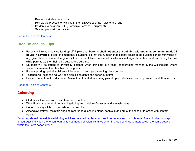- Review of student handbook
- Review the process for walking in the hallways such as "rules of the road"
- Students to be given PPE (Protective Personal Equipment)
- Seating plans will be created

## <span id="page-7-0"></span>**Drop Off and Pick Ups**

- Parents will remain outside for drop-off & pick-ups. **Parents shall not enter the building without an appointment made 24 hours in advance**, except in emergency situations, so that the number of additional adults in the building can be minimized at any given time. Outside of regular pick-up drop-off times, office administrators will sign students in and out during the day while parents wait for their child outside the building.
- Students will be taught to physically distance when lining up in a calm, encouraging manner. Signs will indicate where students can meet their teacher on the grass.
- Parents picking up their children will be asked to arrange a meeting place outside.
- Teachers will scan the hallway and dismiss students one cohort at a time.
- Bussed students will be dismissed 5 minutes after students being picked up are dismissed and supervised by staff members.

## Return to Table of [Contents](#page-3-0)

## <span id="page-7-1"></span>**Cohorting**

- **●** Students will remain with their classroom teachers,
- We will minimize cohort intermingling during and outside of classes and in washrooms.
- Cohort seating will be in rows whenever possible.
- Alpenglow staff will maintain ongoing records (e.g. seating plans, people in and out of the school) to assist with contact tracing.

Cohorting should be maintained during activities outside the classroom such as recess and lunch breaks. The cohorting concept encourages individuals who cannot maintain 2 metres physical distance when in group settings to interact with the same people within their own cohort group.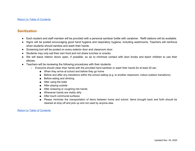## <span id="page-8-0"></span>**Sanitization**

- Each student and staff member will be provided with a personal sanitizer bottle with carabiner. Refill stations will be available.
- Signs will be posted encouraging good hand hygiene and respiratory hygiene, including washrooms. Teachers will reinforce when students should sanitize and wash their hands.
- Screening tool will be posted on every exterior door and classroom door.
- Students may only eat their own food and not share lunches or snacks.
- We will leave interior doors open, if possible, so as to minimize contact with door knobs and teach children to use their elbows.
- Teachers will be reviewing the following procedures with their students:
	- Everyone should clean their hands with the provided hand sanitizer or wash their hands for at least 20 sec
		- When they arrive at school and before they go home
		- Before and after any transitions within the school setting (e.g. to another classroom, indoor-outdoor transitions)
		- Before eating and drinking
		- After using the toilet
		- After playing outside
		- After sneezing or coughing into hands
		- Whenever hands are visibly dirty
		- After touch communal surfaces
		- Please minimise the transportation of items between home and school. Items brought back and forth should be cleaned at drop off and pick up and not used by anyone else.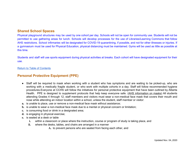## <span id="page-9-0"></span>**Shared School Spaces**

Physical playground structures may be used by one cohort per day. Schools will not be open for community use. Students will not be permitted to use gathering areas for lunch. Schools will develop processes for the use of Libraries/Learning Commons that follow AHS restrictions. School infirmaries will be designated for COVID-19 quarantining, if possible, and not for other illnesses or injuries. If a gymnasium must be used for Physical Education, physical distancing must be maintained. Gyms will be used as little as possible at this time.

Students and staff will use sports equipment during physical activities at breaks. Each cohort will have designated equipment for their use.

#### Return to Table of [Contents](#page-3-0)

## <span id="page-9-1"></span>**Personal Protective Equipment (PPE)**

- **●** Staff will be required to mask when working with a student who has symptoms and are waiting to be picked-up, who are working with a medically fragile student, or who work with multiple cohorts in a day. Staff will follow recommended hygiene procedures.Everyone at CCHS will follow the initiatives for personal protective equipment that have been outlined by Alberta Health. PPE is designed to supplement protocols that help keep everyone safe. (AHS [information](https://open.alberta.ca/publications/covid-19-information-guidance-for-wearing-non-medical-masks) on masks) All students attending Grades 4 through 12, staff members and visitors must wear a non-medical face mask that covers their mouth and nose while attending an indoor location within a school, unless the student, staff member or visitor:
- **a.** is unable to place, use or remove a non-medical face mask without assistance;
- **b.** is unable to wear a non-medical face mask due to a mental or physical concern or limitation;
- **c.** is consuming food or drink in a designated area;
- **d.** is engaging in physical exercise;
- **e.** is seated at a desk or table
	- **i.** within a classroom or place where the instruction, course or program of study is taking place, and
	- **ii.** where the desks, tables, and chairs are arranged in a manner
		- **A.** to prevent persons who are seated from facing each other, and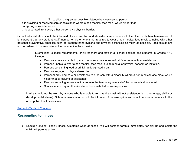**B.** to allow the greatest possible distance between seated person;

f. is providing or receiving care or assistance where a non-medical face mask would hinder that

caregiving or assistance; or

g. is separated from every other person by a physical barrier.

School administration should be informed of an exemption and should ensure adherence to the other public health measures. It is important that any student, staff member or visitor who is not required to wear a non-medical face mask complies with other personal preventative practices such as frequent hand hygiene and physical distancing as much as possible. Face shields are not considered to be an equivalent to non-medical face masks.

> Exemptions to mask requirements for all teachers and staff in all school settings and students in Grades 4-12 include:

- Persons who are unable to place, use or remove a non-medical face mask without assistance.
- Persons unable to wear a non-medical face mask due to mental or physical concern or limitation.
- Persons consuming food or drink in a designated area.
- Persons engaged in physical exercise.
- Personal providing care or assistance to a person with a disability where a non-medical face mask would hinder that caregiving or assistance.
- Persons engaging in services that require the temporary removal of the non-medical face mask.
- Spaces where physical barriers have been installed between persons.

Masks should not be worn by anyone who is unable to remove the mask without assistance (e.g. due to age, ability or developmental status). School administration should be informed of the exemption and should ensure adherence to the other public health measures.

#### Return to Table of [Contents](#page-3-0)

## <span id="page-10-0"></span>**Responding to Illness**

● Should a student display illness symptoms while at school, we will contact parents immediately for pick-up and isolate the child until parents arrive.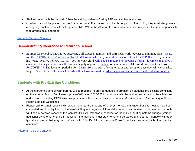- Staff in contact with the child will follow the strict guidelines of using PPE and sanitary measures.
- Children cannot be placed on the bus when sick. If a parent is not able to pick up their child, they must designate an emergency contact who will pick up your child. Within the Alberta Government's pandemic response, this is a responsibility that families must adhere to.

## <span id="page-11-0"></span>**Demonstrating Clearance to Return to School**

• In order for school re-entry to be successful, all students, families and staff must work together to minimize risks. Please use the COVID-19 [Self-Assessment](https://myhealth.alberta.ca/journey/covid-19/Pages/COVID-Self-Assessment.aspx) Too[l](https://myhealth.alberta.ca/Journey/COVID-19/Pages/Assessment.aspx) to determine whether your child needs to be tested for COVID-19. If your child has tested positive for COVID-19, you or your child will not be required to provide a formal document that shows evidence of a negative test result. You are legally required to [isolate](https://www.alberta.ca/isolation.aspx#isolate) for a minimum of **10 days** if you have tested positive for COVID-19. The isolation period is for 10 days from the start of symptoms, or until symptoms resolve, whichever takes longer. Students can return to school when they have followed the [Alberta government's requirement related to isolation](https://www.alberta.ca/isolation.aspx#:~:text=Mandatory%20isolation,-Albertans%20with%20symptoms&text=You%20are%20legally%20required%20to,existing%20illness%20or%20health%20condition.)

## <span id="page-11-1"></span>**Students with Pre-Existing Conditions**

- At the start of the school year, parents will be required to provide updated information on student's pre-existing conditions on the Annual School Enrollment Update/Verification 2020/2021. Individuals who have allergies or ongoing health issues and who are exhibiting COVID-like symptoms must be tested at least once *prior to the start of school*, according to Alberta Health Services Guidelines.
- Please call or email your child's school, prior to the first day of classes, to let them know that this testing has been completed and to notify them of the results if they are negative. A formal document does not need to be provided. Schools will keep a detailed record of this contact. This will establish a baseline for the individual. If symptoms change (worsen, additional symptoms, change in baseline), the individual must stay home and be tested and cleared. Schools will track typical symptoms that may be confused with COVID-19 for students in PowerSchool as they would with other medical conditions.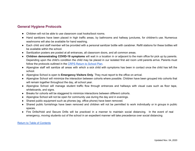## <span id="page-12-0"></span>**General Hygiene Protocols**

- Children will not be able to use classroom coat hooks/boot rooms.
- Hand sanitizers have been placed in high traffic areas, by bathrooms and hallway junctures, for children's use. Numerous washrooms will also be available for hand washing.
- Each child and staff member will be provided with a personal sanitizer bottle with carabiner. Refill stations for these bottles will be available within the school.
- Sanitization posters are posted at all entrances, all classroom doors, and all common areas.
- **Children demonstrating COVID-19 symptoms** will wait in a location in or adjacent to the main office for pick up by parents. Depending upon the child's condition the child may be placed in our isolated first aid room until parents arrive. Parents must follow the protocols outlined in the CRPS Return to [School](https://www.crps.ca/Coronavirus.php) Plan.
- Alpenglow staff will sanitize all areas with which a sick child with symptoms has been in contact once the child has left the school.
- Alpenglow School is open to **Emergency Visitors Only**. They must report to the office on arrival.
- Alpenglow School will minimize the interaction between cohorts where possible. Children have been grouped into cohorts that will remain together throughout the day, all school year.
- Alpenglow School will manage student traffic flow through entrances and hallways with visual cues such as floor tape, whiteboards, and signs.
- Breaks for cohorts will be staggered to minimize interactions between different cohorts.
- Alpenglow School will not be open for community use during the day and in evenings.
- Shared public equipment such as phones (eg. office phone) have been removed.
- Shared public furnishings have been removed and children will not be permitted to work individually or in groups in public spaces.
- Fire Drills/Hold and Secure Drills will be practiced in a manner to maintain social distancing. In the event of real emergency, moving students out of the school in an expedient manner will take precedence over social distancing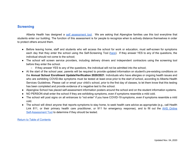## <span id="page-13-0"></span>**Screening**

Alberta Health has designed a self [assessment](https://www.alberta.ca/assets/documents/edc-covid-19-screening-questionaire-english.pdf) tool. We are asking that Alpenglow families use this tool everytime that students enter our building. The function of this assessment is for people to recognize when to actively distance themselves in order to protect others around them.

- Before leaving home, staff and students who will access the school for work or education, must self-screen for symptoms each day that they enter the school using the Self-Screening Tool ([here\)](https://www.alberta.ca/assets/documents/edc-covid-19-screening-questionaire-english.pdf). If they answer YES to any of the questions, the individual should not come to the school;
- The school will screen service providers, including delivery drivers and independent contractors using the screening tool before they enter the school.
	- If they answer YES to any of the questions, the individual will not be admitted into the school;
- At the start of the school year, parents will be required to provide updated information on student's pre-existing conditions on the **Annual School Enrollment Update/Verification 2020/2021**. Individuals who have allergies or ongoing health issues and who are exhibiting COVID-like symptoms must be tested at least once prior to the start of school, according to Alberta Health Services Guidelines. Please call or email your child's school, prior to the first day of classes, to let them know that this testing has been completed and provide evidence of a negative test to the school.
- Alpenglow School has placed self-assessment information posters around the school and on the student information systems.
- NO PERSON shall enter the school if they are exhibiting symptoms, even if symptoms resemble a mild cold.
- The school will post signs on all entrances to "not enter" if you have COVID-19 symptoms, even if symptoms resemble a mild cold.
- The school will direct anyone that reports symptoms to stay home, to seek health care advice as appropriate (e.g., call Health Link 811, or their primary health care practitioner, or 911 for emergency response), and to fill out the AHS [Online](https://myhealth.alberta.ca/journey/covid-19/Pages/COVID-Self-Assessment.aspx) [Self-Assessment](https://myhealth.alberta.ca/journey/covid-19/Pages/COVID-Self-Assessment.aspx) Tool to determine if they should be tested.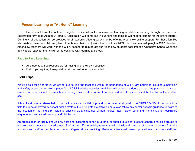## <span id="page-14-0"></span>**In-Person Learning or "At-Home" Learning**

Parents will have the option to register their children for face-to-face learning or at-home learning through our divisional registration form (see August 24 email). Registration will come out in quarters and families will need to commit for the entire quarter. Continuity of education will be provided to all students. Alpenglow will not be offering Alpenglow online support. For those families who wish to have their child(ren) learn from home, their child(ren) will work with a CRPS cohort and a non-Alpenglow CRPS teacher. Alpenglow teachers will work with the CRPS teacher to reintegrate our Alpenglow students back into the Alpenglow School when the family feels ready for their child(ren) to continue with learning at school.

## **Face to Face Learning:**

- All students will be responsible for having all of their own supplies.
- Field trips requiring transportation will be postponed or cancelled.

## **Field Trips**

Walking field trips and travel via school bus to field trip locations within the boundaries of CRPS are permitted. Routine supervision and safety protocols remain in place for all CRPS off-site activities. Activities will be held outdoors as much as possible. Individual classroom cohorts should be maintained during transportation to and from any field trip site, as well as at the location of the field trip site.

A host location must share their protocols in advance of a field trip, and protocols must align with the CRPS COVID-19 protocols for a field trip to be approved by school administrators. Field trips/off-site activities must also follow any sector-specific guidance relevant to the location of the field trip, including physical distancing, use of non-medical face masks, cohorting, hand hygiene, respiratory etiquette and enhanced cleaning and disinfection.

An organization or facility should only host one classroom cohort at a time, or should take clear steps to separate multiple groups to ensure they do not use shared areas. Staff at the off-site activity must maintain physical distancing of at least 2 meters from the students and staff in the classroom cohort. Organizations providing off-site activities must develop procedures to address staff that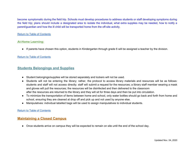become symptomatic during the field trip. Schools must develop procedures to address students or staff developing symptoms during the field trip; plans should include a designated area to isolate the individual, what extra supplies may be needed, how to notify a parent/guardian and how the ill child will be transported home from the off-site activity.

#### Return to Table of [Contents](#page-3-0)

#### **At-Home Learning:**

● If parents have chosen this option, students in Kindergarten through grade 6 will be assigned a teacher by the division.

#### Return to Table of [Contents](#page-3-0)

## <span id="page-15-0"></span>**Students Belongings and Supplies**

- Student belongings/supplies will be stored separately and lockers will not be used.
- Students will not be entering the library; rather, the protocol to access library materials and resources will be as follows: students and staff will not access directly; staff will submit a request for the resources; a library staff member wearing a mask and gloves will pull the resources; the resources will be disinfected and then delivered to the classroom after the resources are returned to the library and they will sit for three days and then be put into circulation.
- To minimize the transportation of items between home and school, only water bottles should go back and forth from home and school, ensuring they are cleaned at drop off and pick up and not used by anyone else.
- Manipulatives: individual labelled bags will be used to assign manipulatives to individual students.

#### Return to Table of [Contents](#page-3-0)

## <span id="page-15-1"></span>**Maintaining a Closed Campus**

• Once students arrive on campus they will be expected to remain on site until the end of the school day.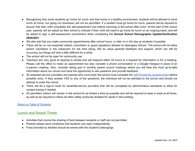- Recognizing that some students go home for lunch and that home is a healthy environment, students will be allowed to have lunch at home, but going out downtown will not be permitted. If a student must go home for lunch, parents will be required to ensure that their child completes the self-assessment tool before returning to the school after lunch. At the start of the school year, parents will be asked by their school to indicate if their child will need to go home for lunch on an ongoing basis, and will be asked to sign a self-assessment commitment when completing the **Annual School Demographic Update/Verification 2020/2021**.
- We also ask that you make community appointments after school hours, or later on in the day as students if possible.
- There will be no non-essential visitors (volunteers or guest speakers) allowed at Alpenglow School. The school will not allow parent volunteers in the classroom for the time being. We do value parental feedback and support, which can still be occurring, but things will look a little different for a while.
- The school will not be open for community use.
- Teachers are very good at replying to emails and will respond within 24 hours to a request for information or for a meeting. Please call the office to make an appointment but also consider a phone conversation or a Google Hangout in place of an in-person meeting. Also, consider taking part in monthly parent council meetings where you will hear the most up-to-date information about our school and have the opportunity to ask questions and provide feedback.
- All essential-service providers and parents who must enter the school must complete the [Self-Screening](https://www.alberta.ca/assets/documents/edc-covid-19-screening-questionaire-english.pdf) Questionnaire before possible entry. If they answer YES to any of the questions, the individual will not be admitted to the school and should not attempt to enter the school.
- There will be a sign-in book for essential-service providers that will be completed by administrative assistants to allow for contact tracing if needed.
- All permitted visitors will remain in the school for as limited a time as possible and will be required to wear a mask at all times, as well as be required to follow all other safety protocols dictated for adults in the building.

## <span id="page-16-0"></span>**Lunch and Snack Times**

- Activities that involve the sharing of food between students or staff are not permitted.
- Parents please send containers that students can open independently.
- Food provided by families should be stored with the student's belongings.